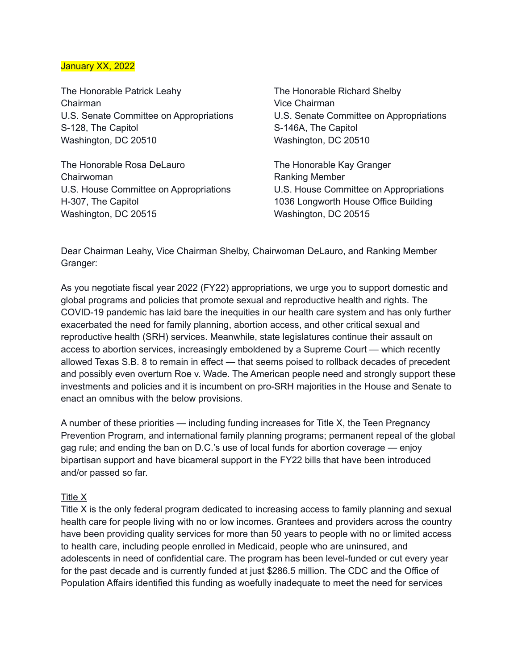#### January XX, 2022

The Honorable Patrick Leahy Chairman U.S. Senate Committee on Appropriations S-128, The Capitol Washington, DC 20510

The Honorable Rosa DeLauro Chairwoman U.S. House Committee on Appropriations H-307, The Capitol Washington, DC 20515

The Honorable Richard Shelby Vice Chairman U.S. Senate Committee on Appropriations S-146A, The Capitol Washington, DC 20510

The Honorable Kay Granger Ranking Member U.S. House Committee on Appropriations 1036 Longworth House Office Building Washington, DC 20515

Dear Chairman Leahy, Vice Chairman Shelby, Chairwoman DeLauro, and Ranking Member Granger:

As you negotiate fiscal year 2022 (FY22) appropriations, we urge you to support domestic and global programs and policies that promote sexual and reproductive health and rights. The COVID-19 pandemic has laid bare the inequities in our health care system and has only further exacerbated the need for family planning, abortion access, and other critical sexual and reproductive health (SRH) services. Meanwhile, state legislatures continue their assault on access to abortion services, increasingly emboldened by a Supreme Court — which recently allowed Texas S.B. 8 to remain in effect — that seems poised to rollback decades of precedent and possibly even overturn Roe v. Wade. The American people need and strongly support these investments and policies and it is incumbent on pro-SRH majorities in the House and Senate to enact an omnibus with the below provisions.

A number of these priorities — including funding increases for Title X, the Teen Pregnancy Prevention Program, and international family planning programs; permanent repeal of the global gag rule; and ending the ban on D.C.'s use of local funds for abortion coverage — enjoy bipartisan support and have bicameral support in the FY22 bills that have been introduced and/or passed so far.

#### Title X

Title X is the only federal program dedicated to increasing access to family planning and sexual health care for people living with no or low incomes. Grantees and providers across the country have been providing quality services for more than 50 years to people with no or limited access to health care, including people enrolled in Medicaid, people who are uninsured, and adolescents in need of confidential care. The program has been level-funded or cut every year for the past decade and is currently funded at just \$286.5 million. The CDC and the Office of Population Affairs identified this funding as woefully inadequate to meet the need for services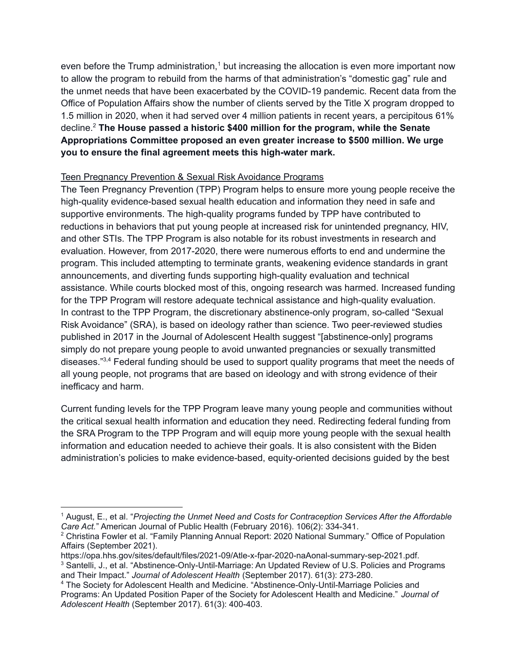even before the Trump administration,<sup>1</sup> but increasing the allocation is even more important now to allow the program to rebuild from the harms of that administration's "domestic gag" rule and the unmet needs that have been exacerbated by the COVID-19 pandemic. Recent data from the Office of Population Affairs show the number of clients served by the Title X program dropped to 1.5 million in 2020, when it had served over 4 million patients in recent years, a percipitous 61% decline. <sup>2</sup> **The House passed a historic \$400 million for the program, while the Senate Appropriations Committee proposed an even greater increase to \$500 million. We urge you to ensure the final agreement meets this high-water mark.**

## Teen Pregnancy Prevention & Sexual Risk Avoidance Programs

The Teen Pregnancy Prevention (TPP) Program helps to ensure more young people receive the high-quality evidence-based sexual health education and information they need in safe and supportive environments. The high-quality programs funded by TPP have contributed to reductions in behaviors that put young people at increased risk for unintended pregnancy, HIV, and other STIs. The TPP Program is also notable for its robust investments in research and evaluation. However, from 2017-2020, there were numerous efforts to end and undermine the program. This included attempting to terminate grants, weakening evidence standards in grant announcements, and diverting funds supporting high-quality evaluation and technical assistance. While courts blocked most of this, ongoing research was harmed. Increased funding for the TPP Program will restore adequate technical assistance and high-quality evaluation. In contrast to the TPP Program, the discretionary abstinence-only program, so-called "Sexual Risk Avoidance" (SRA), is based on ideology rather than science. Two peer-reviewed studies published in 2017 in the Journal of Adolescent Health suggest "[abstinence-only] programs simply do not prepare young people to avoid unwanted pregnancies or sexually transmitted diseases."<sup>3,4</sup> Federal funding should be used to support quality programs that meet the needs of all young people, not programs that are based on ideology and with strong evidence of their inefficacy and harm.

Current funding levels for the TPP Program leave many young people and communities without the critical sexual health information and education they need. Redirecting federal funding from the SRA Program to the TPP Program and will equip more young people with the sexual health information and education needed to achieve their goals. It is also consistent with the Biden administration's policies to make evidence-based, equity-oriented decisions guided by the best

<sup>1</sup> August, E., et al. "*Projecting the Unmet Need and Costs for Contraception Services After the Affordable Care Act.*" American Journal of Public Health (February 2016). 106(2): 334-341.

<sup>&</sup>lt;sup>2</sup> Christina Fowler et al. "Family Planning Annual Report: 2020 National Summary." Office of Population Affairs (September 2021).

<sup>&</sup>lt;sup>3</sup> Santelli, J., et al. "Abstinence-Only-Until-Marriage: An Updated Review of U.S. Policies and Programs and Their Impact." *Journal of Adolescent Health* (September 2017). 61(3): 273-280. https://opa.hhs.gov/sites/default/files/2021-09/Atle-x-fpar-2020-naAonal-summary-sep-2021.pdf.

<sup>4</sup> The Society for Adolescent Health and Medicine. "Abstinence-Only-Until-Marriage Policies and Programs: An Updated Position Paper of the Society for Adolescent Health and Medicine." *Journal of Adolescent Health* (September 2017). 61(3): 400-403.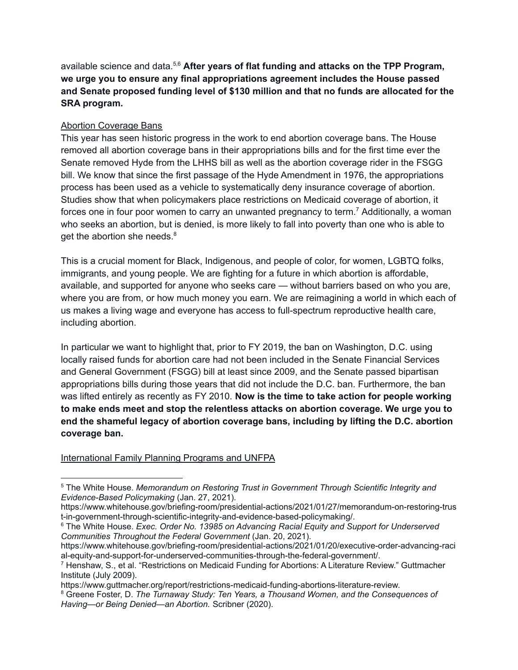available science and data. 5,6 **After years of flat funding and attacks on the TPP Program, we urge you to ensure any final appropriations agreement includes the House passed and Senate proposed funding level of \$130 million and that no funds are allocated for the SRA program.**

# Abortion Coverage Bans

This year has seen historic progress in the work to end abortion coverage bans. The House removed all abortion coverage bans in their appropriations bills and for the first time ever the Senate removed Hyde from the LHHS bill as well as the abortion coverage rider in the FSGG bill. We know that since the first passage of the Hyde Amendment in 1976, the appropriations process has been used as a vehicle to systematically deny insurance coverage of abortion. Studies show that when policymakers place restrictions on Medicaid coverage of abortion, it forces one in four poor women to carry an unwanted pregnancy to term.<sup>7</sup> Additionally, a woman who seeks an abortion, but is denied, is more likely to fall into poverty than one who is able to get the abortion she needs.<sup>8</sup>

This is a crucial moment for Black, Indigenous, and people of color, for women, LGBTQ folks, immigrants, and young people. We are fighting for a future in which abortion is affordable, available, and supported for anyone who seeks care — without barriers based on who you are, where you are from, or how much money you earn. We are reimagining a world in which each of us makes a living wage and everyone has access to full-spectrum reproductive health care, including abortion.

In particular we want to highlight that, prior to FY 2019, the ban on Washington, D.C. using locally raised funds for abortion care had not been included in the Senate Financial Services and General Government (FSGG) bill at least since 2009, and the Senate passed bipartisan appropriations bills during those years that did not include the D.C. ban. Furthermore, the ban was lifted entirely as recently as FY 2010. **Now is the time to take action for people working to make ends meet and stop the relentless attacks on abortion coverage. We urge you to end the shameful legacy of abortion coverage bans, including by lifting the D.C. abortion coverage ban.**

# International Family Planning Programs and UNFPA

<sup>5</sup> The White House. *Memorandum on Restoring Trust in Government Through Scientific Integrity and Evidence-Based Policymaking* (Jan. 27, 2021).

https://www.whitehouse.gov/briefing-room/presidential-actions/2021/01/27/memorandum-on-restoring-trus t-in-government-through-scientific-integrity-and-evidence-based-policymaking/.

<sup>6</sup> The White House. *Exec. Order No. 13985 on Advancing Racial Equity and Support for Underserved Communities Throughout the Federal Government* (Jan. 20, 2021).

https://www.whitehouse.gov/briefing-room/presidential-actions/2021/01/20/executive-order-advancing-raci al-equity-and-support-for-underserved-communities-through-the-federal-government/.

<sup>7</sup> Henshaw, S., et al. "Restrictions on Medicaid Funding for Abortions: A Literature Review." Guttmacher Institute (July 2009).

https://www.guttmacher.org/report/restrictions-medicaid-funding-abortions-literature-review.

<sup>8</sup> Greene Foster, D. *The Turnaway Study: Ten Years, a Thousand Women, and the Consequences of Having—or Being Denied—an Abortion.* Scribner (2020).